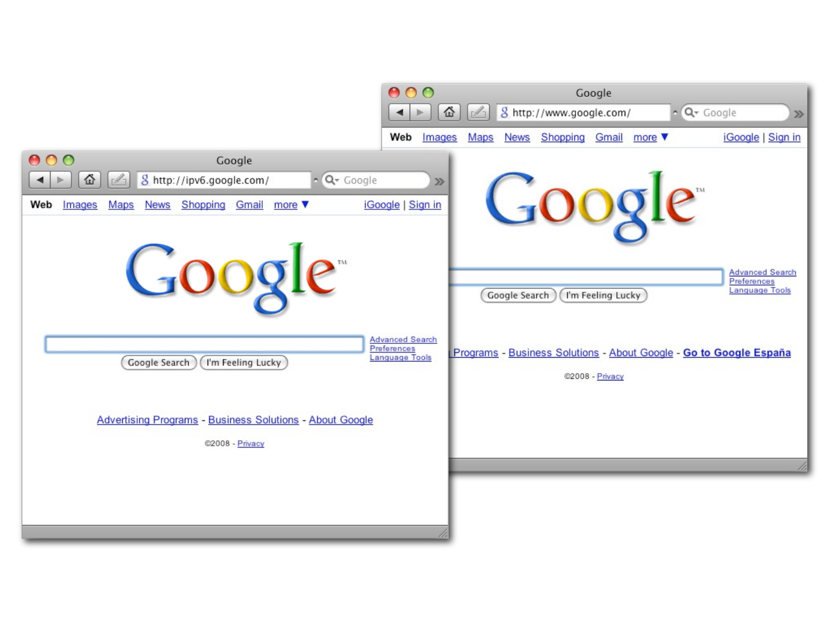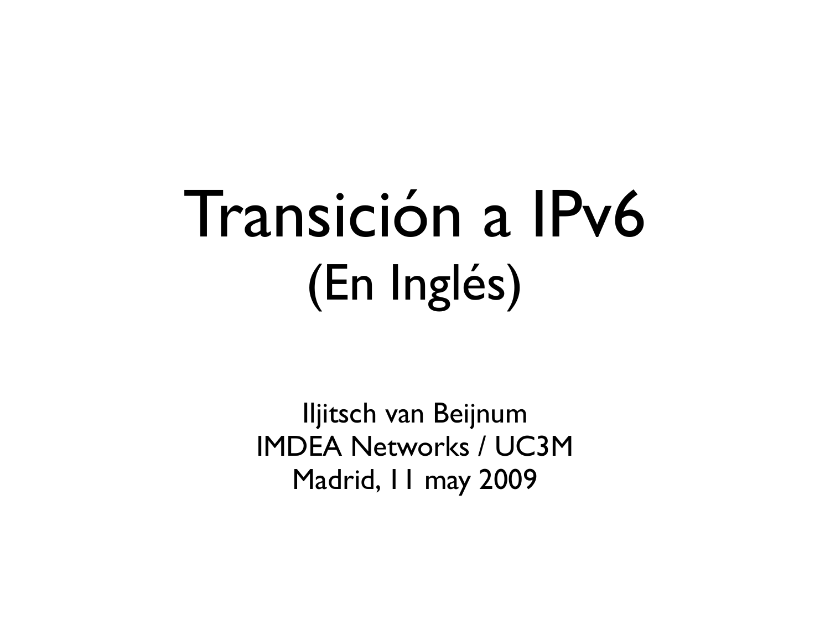#### Transición a IPv6 (En Inglés)

Iljitsch van Beijnum IMDEA Networks / UC3M Madrid, 11 may 2009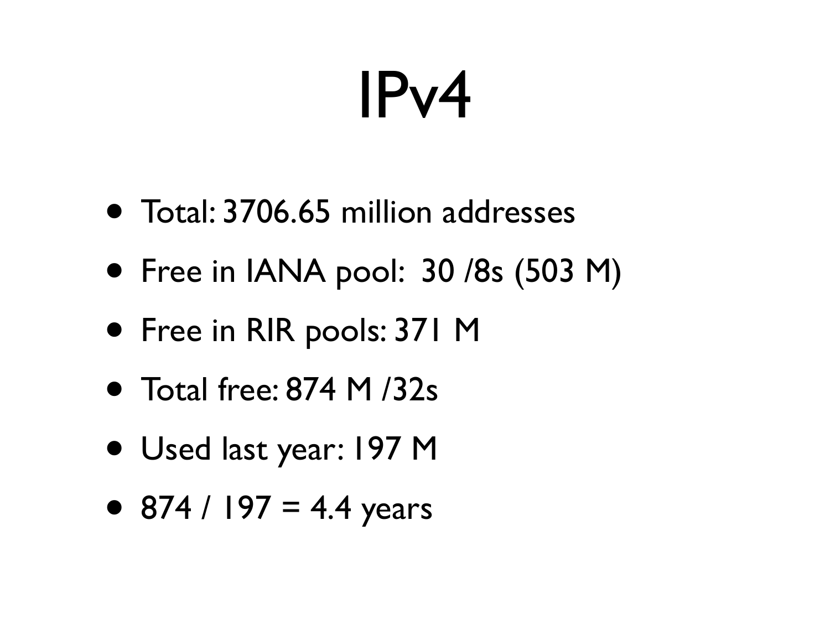## IPv4

- Total: 3706.65 million addresses
- Free in IANA pool: 30 /8s (503 M)
- Free in RIR pools: 371 M
- Total free: 874 M /32s
- Used last year: 197 M
- 874 / 197 = 4.4 years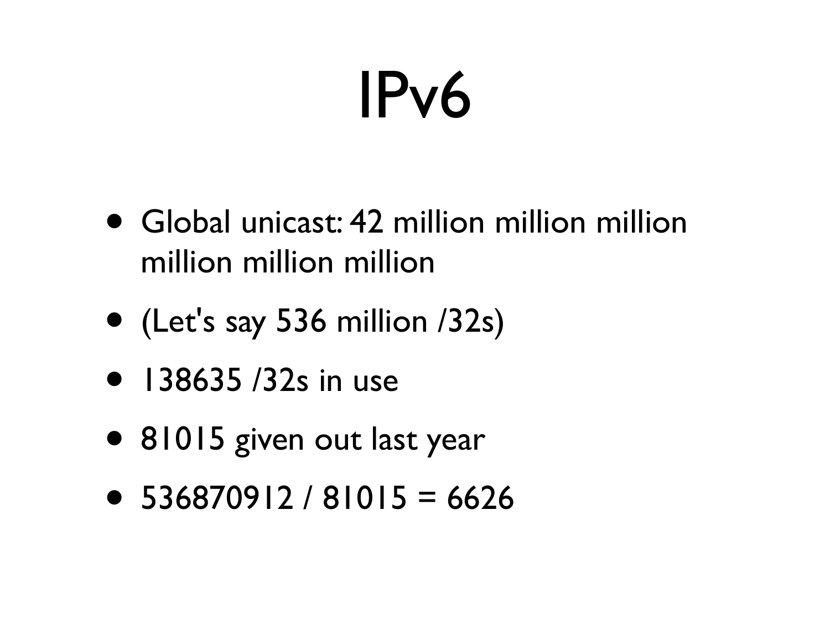## IPv6

- Global unicast: 42 million million million million million million
- (Let's say 536 million /32s)
- 138635 /32s in use
- 81015 given out last year
- $\bullet$  536870912 / 81015 = 6626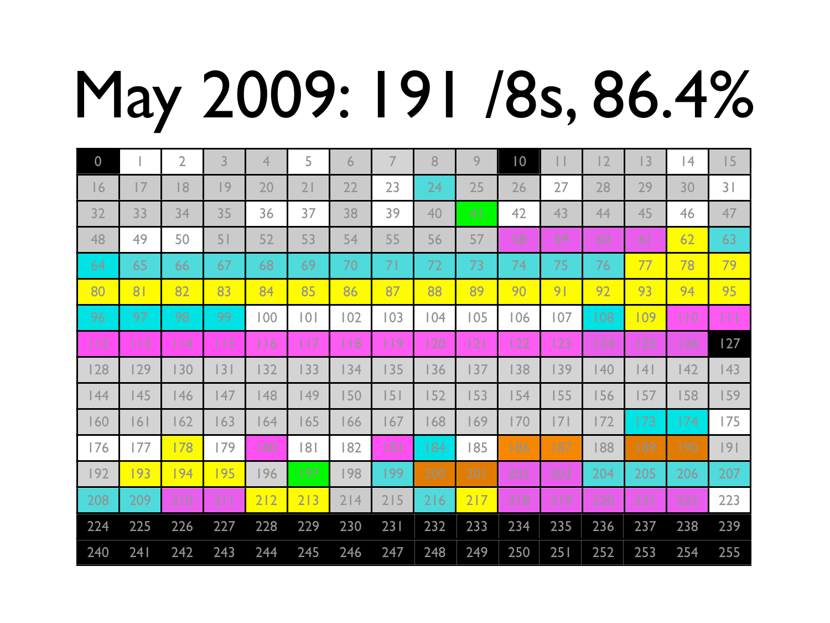# May 2009: 191 /8s, 86.4%

| $\boldsymbol{0}$ |     | $\overline{2}$ | 3   | 4   | 5   | 6   |     | 8   | 9              | 10  | $\mathbf{L}$   | 12  | 3              | 4   | 15             |
|------------------|-----|----------------|-----|-----|-----|-----|-----|-----|----------------|-----|----------------|-----|----------------|-----|----------------|
| $\overline{6}$   | 7   | 18             | 9   | 20  | 21  | 22  | 23  | 24  | 25             | 26  | 27             | 28  | 29             | 30  | 3 <sup>1</sup> |
| 32               | 33  | 34             | 35  | 36  | 37  | 38  | 39  | 40  | 4 <sub>1</sub> | 42  | 43             | 44  | 45             | 46  | 47             |
| 48               | 49  | 50             | 51  | 52  | 53  | 54  | 55  | 56  | 57             | 58  | 59             | 60  | 6 <sup>1</sup> | 62  | 63             |
| 64               | 65  | 66             | 67  | 68  | 69  | 70  | 71  | 72  | 73             | 74  | 75             | 76  | 77             | 78  | 79             |
| 80               | 81  | 82             | 83  | 84  | 85  | 86  | 87  | 88  | 89             | 90  | 9 <sub>1</sub> | 92  | 93             | 94  | 95             |
| 96               | 97  | 98             | 99  | 100 | 0   | 102 | 103 | 104 | 105            | 106 | 107            | 108 | 109            | 110 | Ш              |
| 112              | 113 | $\vert$   4    | 115 | 116 | 117 | 118 | 119 | 120 | 2              | 122 | 123            | 124 | 125            | 126 | 127            |
| 128              | 129 | 130            | 3   | 132 | 133 | 134 | 135 | 136 | 137            | 138 | 139            | 140 | 4              | 142 | 143            |
| 44               | 145 | 146            | 47  | 148 | 149 | 150 | 5   | 152 | 153            | 154 | 155            | 156 | 157            | 158 | 159            |
| 160              | 6   | 162            | 163 | 164 | 165 | 166 | 167 | 168 | 169            | 170 | 7              | 172 | 173            | 174 | 175            |
| 176              | 177 | 178            | 179 | 180 | 181 | 182 | 183 | 184 | 185            | 186 | 187            | 188 | 189            | 190 | 9              |
| 192              | 193 | 194            | 195 | 196 | 197 | 198 | 199 | 200 | 201            | 202 | 203            | 204 | 205            | 206 | 207            |
| 208              | 209 | 210            | 211 | 212 | 213 | 214 | 215 | 216 | 217            | 218 | 219            | 220 | 221            | 222 | 223            |
| 224              | 225 | 226            | 227 | 228 | 229 | 230 | 231 | 232 | 233            | 234 | 235            | 236 | 237            | 238 | 239            |
| 240              | 241 | 242            | 243 | 244 | 245 | 246 | 247 | 248 | 249            | 250 | 251            | 252 | 253            | 254 | 255            |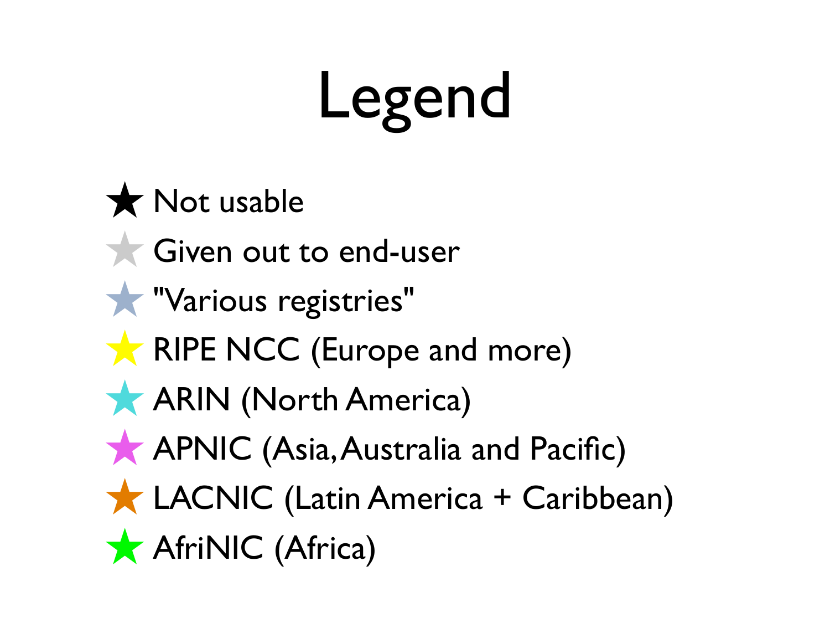## Legend

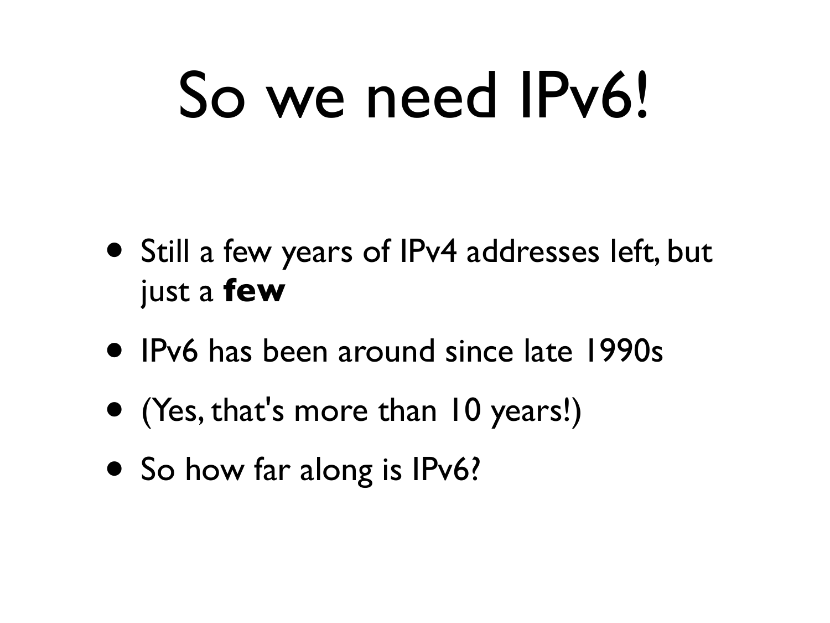## So we need IPv6!

- Still a few years of IPv4 addresses left, but just a **few**
- IPv6 has been around since late 1990s
- (Yes, that's more than 10 years!)
- So how far along is IPv6?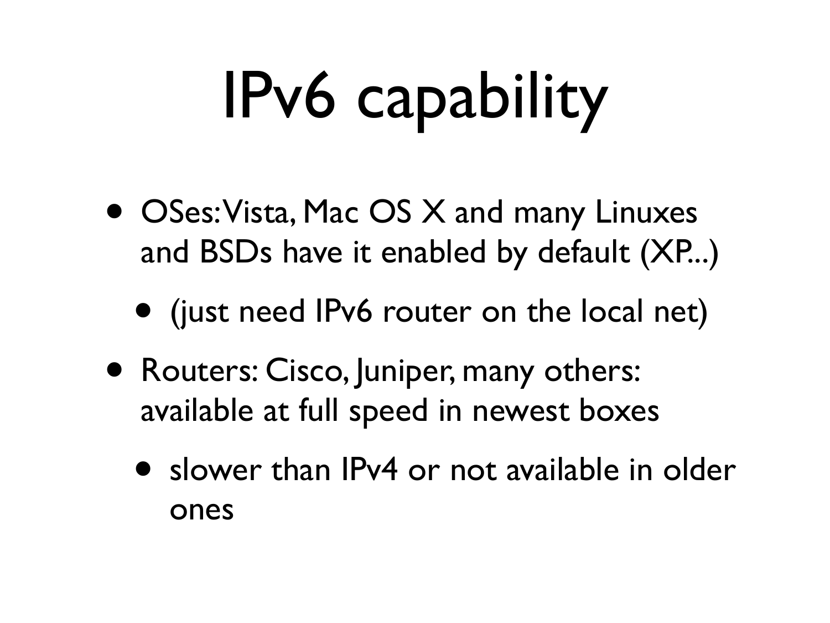# IPv6 capability

- OSes: Vista, Mac OS X and many Linuxes and BSDs have it enabled by default (XP...)
	- (just need IPv6 router on the local net)
- Routers: Cisco, Juniper, many others: available at full speed in newest boxes
	- slower than IPv4 or not available in older ones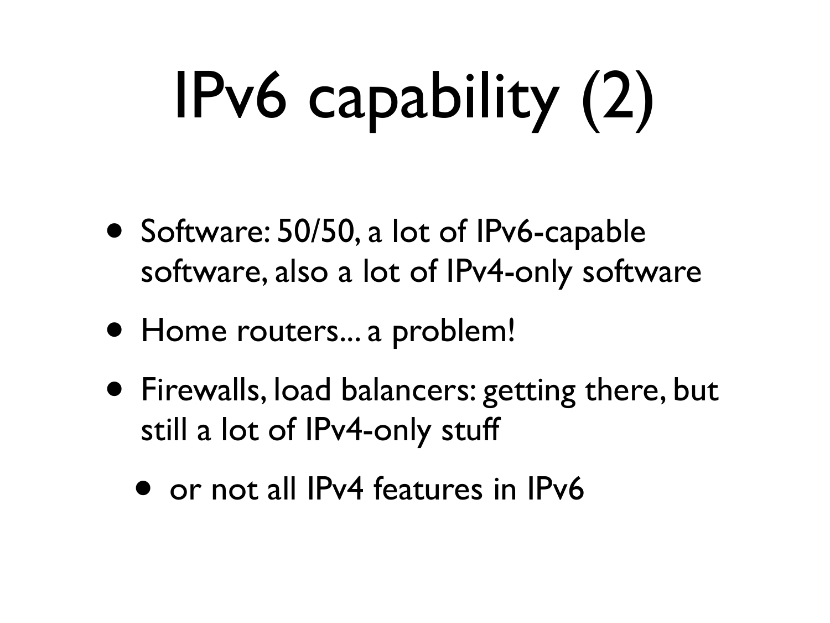# IPv6 capability (2)

- Software: 50/50, a lot of IPv6-capable software, also a lot of IPv4-only software
- Home routers... a problem!
- Firewalls, load balancers: getting there, but still a lot of IPv4-only stuff
	- or not all IPv4 features in IPv6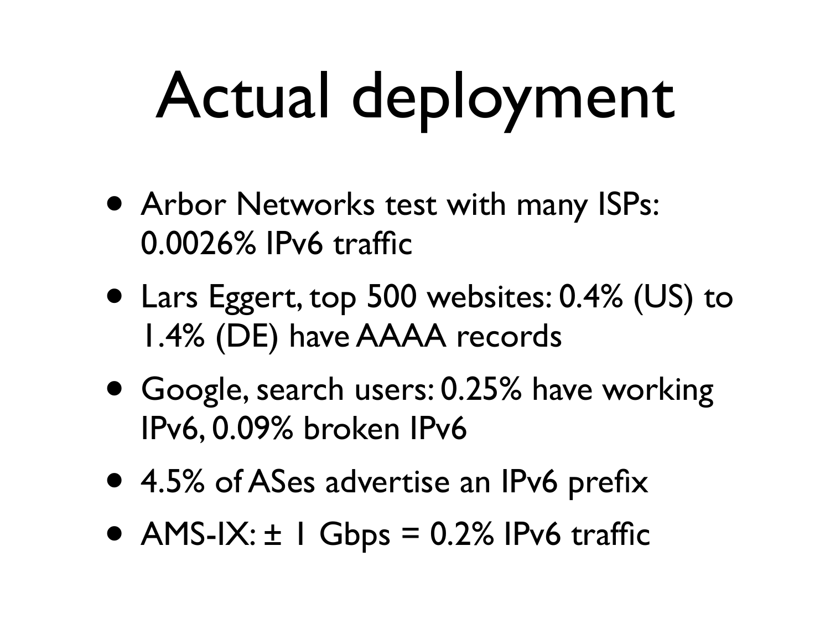# Actual deployment

- Arbor Networks test with many ISPs: 0.0026% IPv6 traffic
- Lars Eggert, top 500 websites: 0.4% (US) to 1.4% (DE) have AAAA records
- Google, search users: 0.25% have working IPv6, 0.09% broken IPv6
- 4.5% of ASes advertise an IPv6 prefix
- AMS-IX:  $\pm$  1 Gbps = 0.2% IPv6 traffic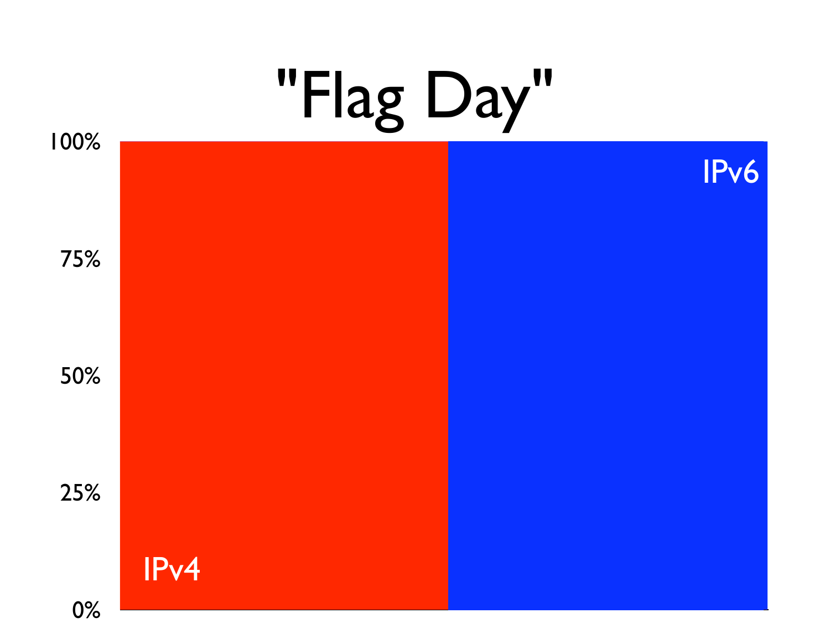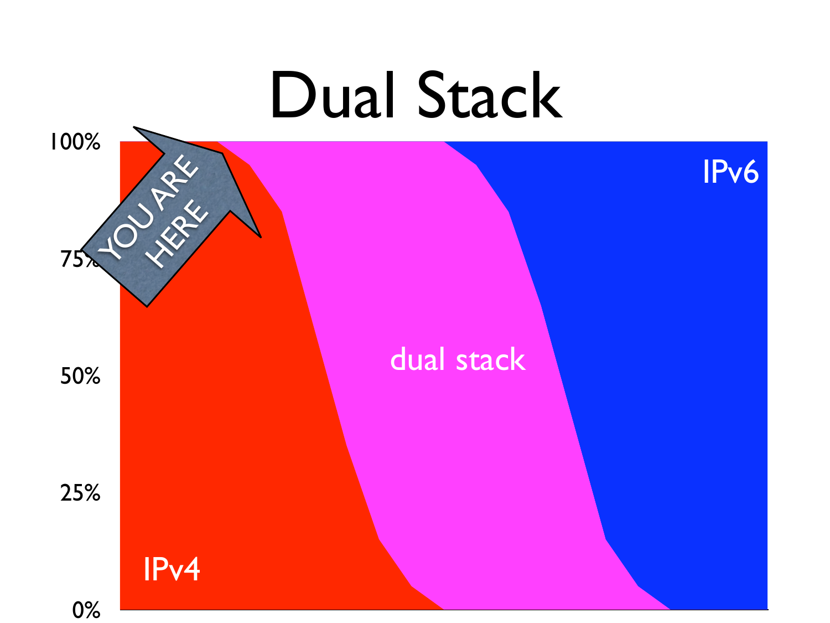## 0% 25% 50%  $75x + 0 = x^2$ 100% Dual Stack dual stack IPv4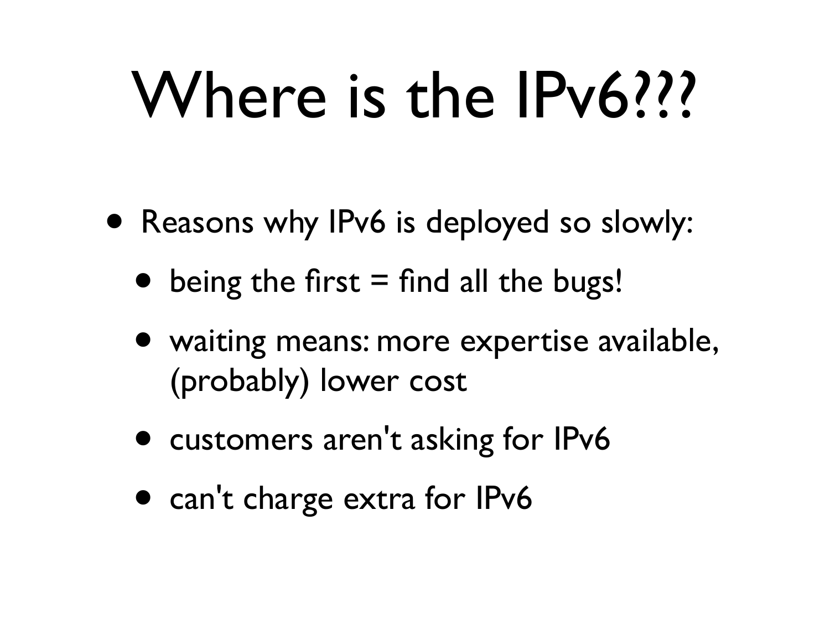## Where is the IPv6???

- Reasons why IPv6 is deployed so slowly:
	- being the first  $=$  find all the bugs!
	- waiting means: more expertise available, (probably) lower cost
	- customers aren't asking for IPv6
	- can't charge extra for IPv6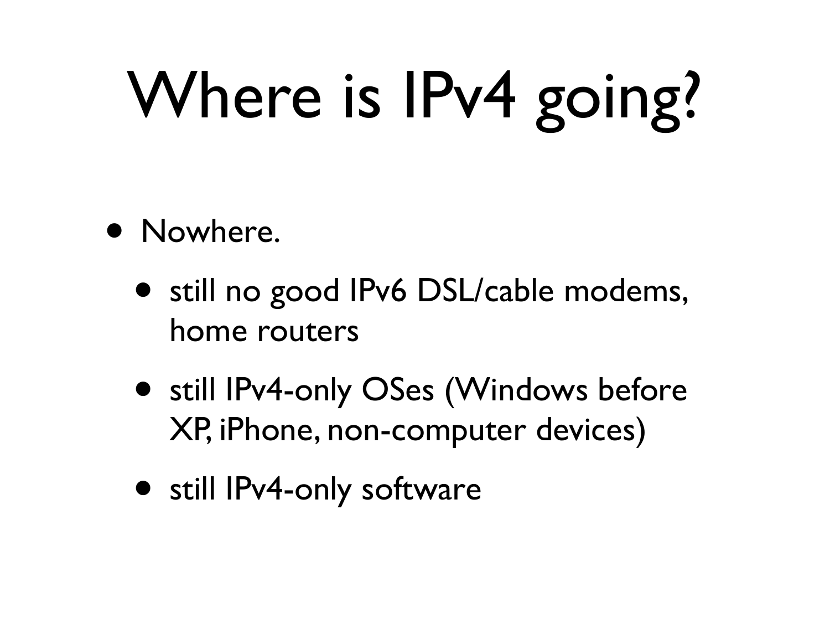# Where is IPv4 going?

- Nowhere.
	- still no good IPv6 DSL/cable modems, home routers
	- still IPv4-only OSes (Windows before XP, iPhone, non-computer devices)
	- still IPv4-only software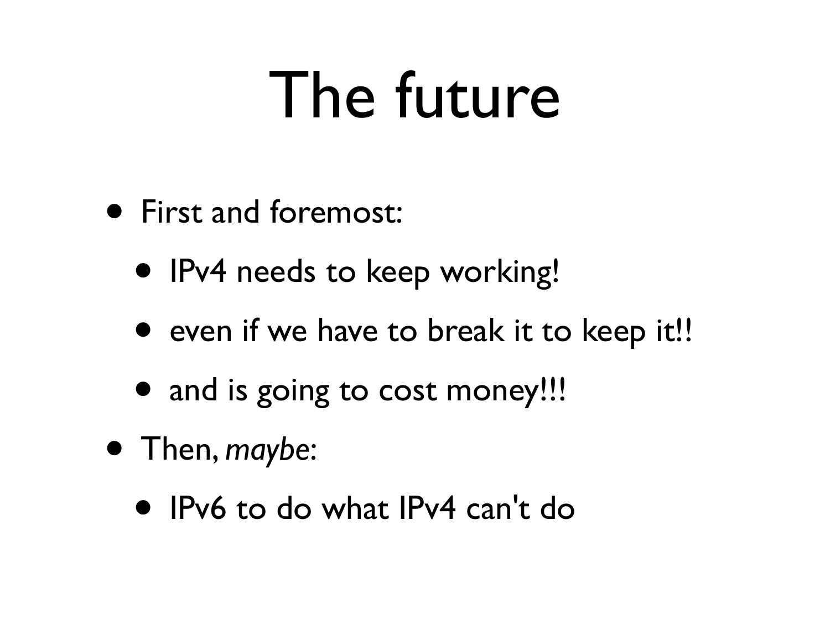## The future

- First and foremost:
	- IPv4 needs to keep working!
	- even if we have to break it to keep it!!
	- and is going to cost money!!!
- Then, *maybe*:
	- IPv6 to do what IPv4 can't do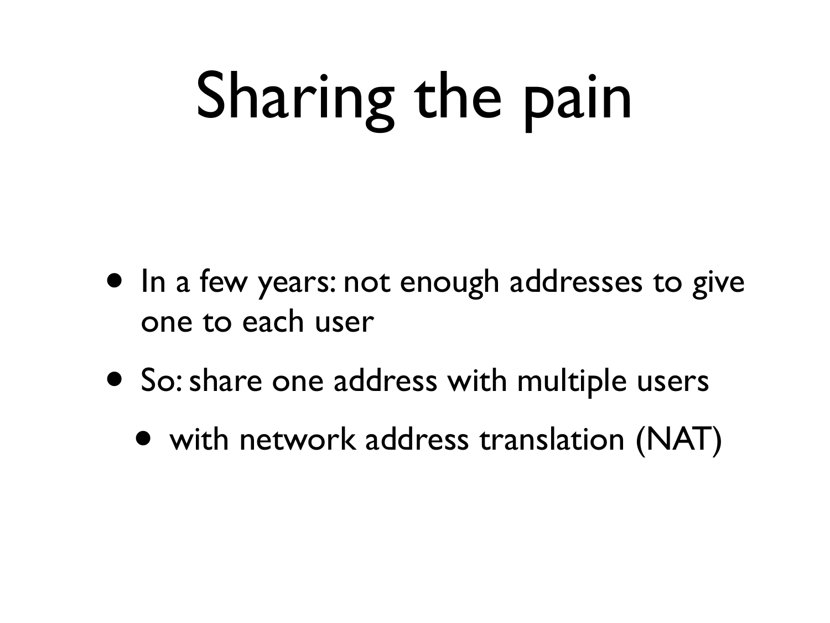# Sharing the pain

- In a few years: not enough addresses to give one to each user
- So: share one address with multiple users
	- with network address translation (NAT)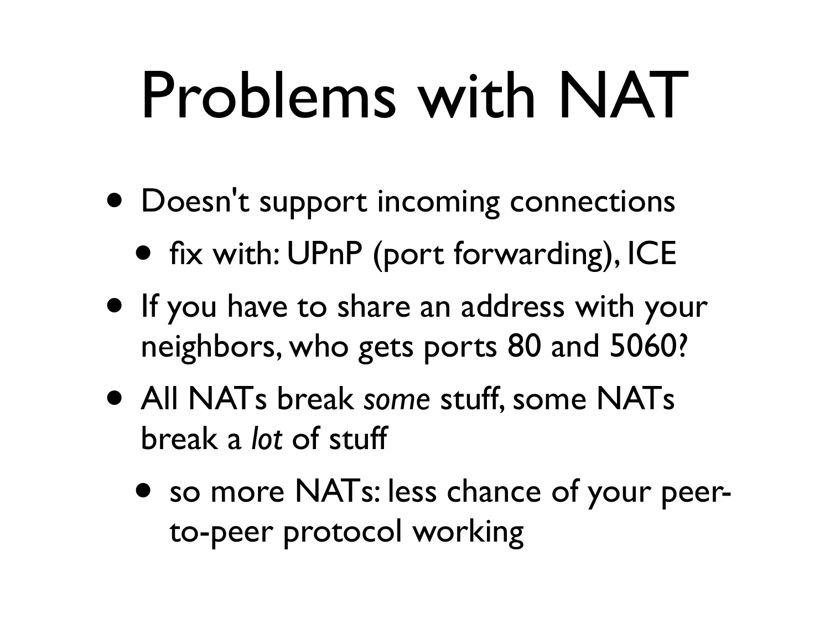## Problems with NAT

- Doesn't support incoming connections
	- fix with: UPnP (port forwarding), ICE
- If you have to share an address with your neighbors, who gets ports 80 and 5060?
- All NATs break *some* stuff, some NATs break a *lot* of stuff
	- so more NATs: less chance of your peerto-peer protocol working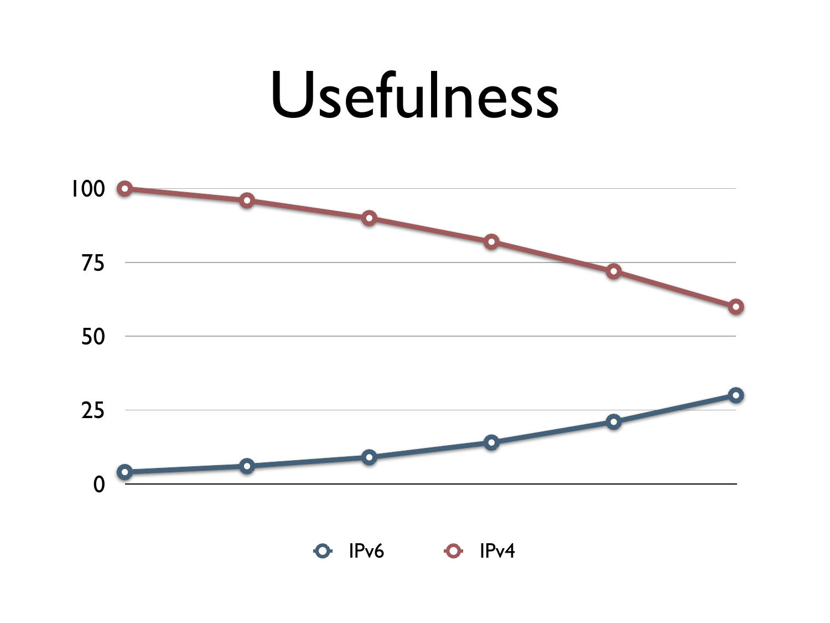#### Usefulness



IPv6 **0** IPv4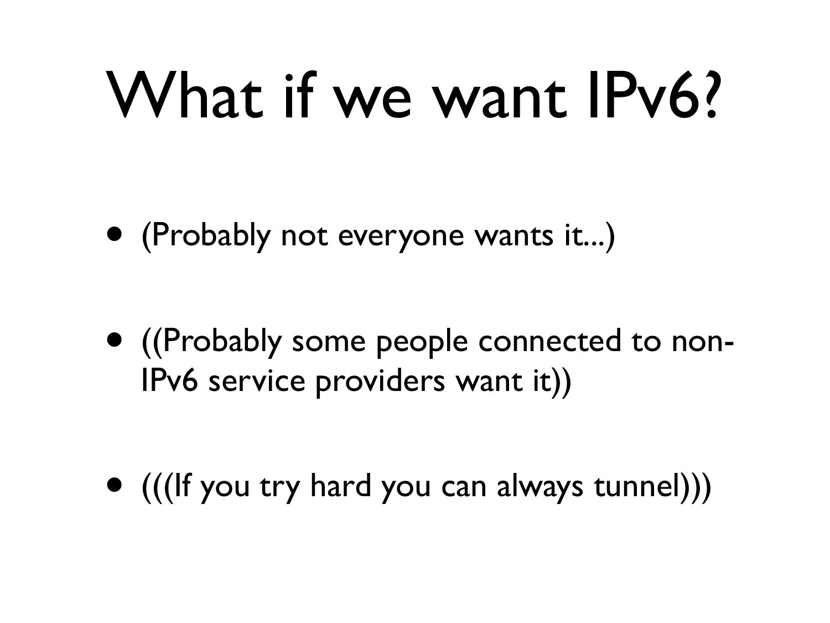## What if we want IPv6?

• (Probably not everyone wants it...)

• ((Probably some people connected to non-IPv6 service providers want it))

• (((If you try hard you can always tunnel)))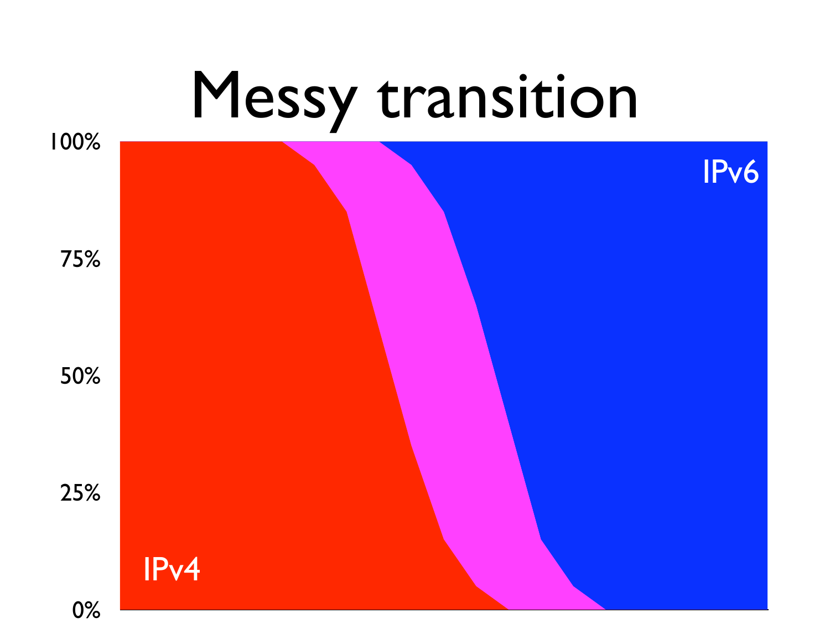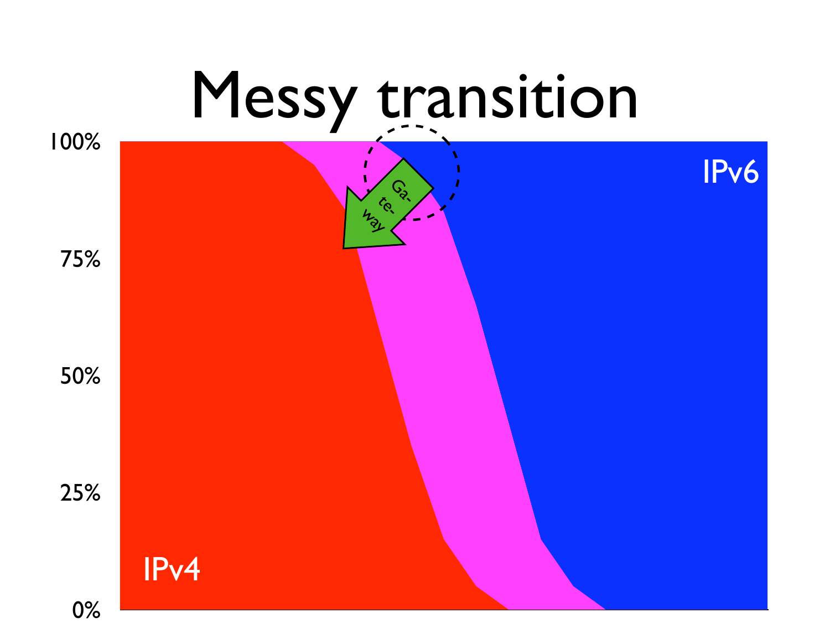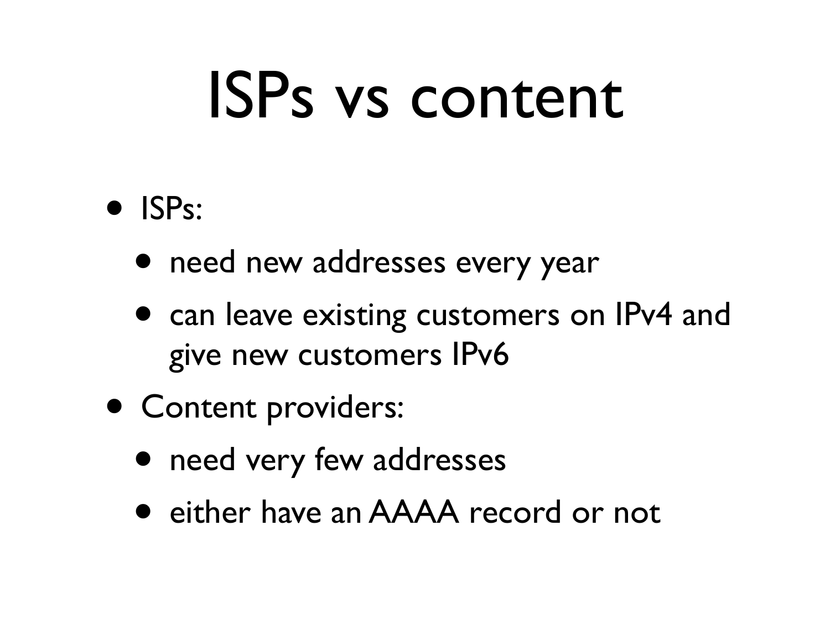## ISPs vs content

- ISPs:
	- need new addresses every year
	- can leave existing customers on IPv4 and give new customers IPv6
- Content providers:
	- need very few addresses
	- either have an AAAA record or not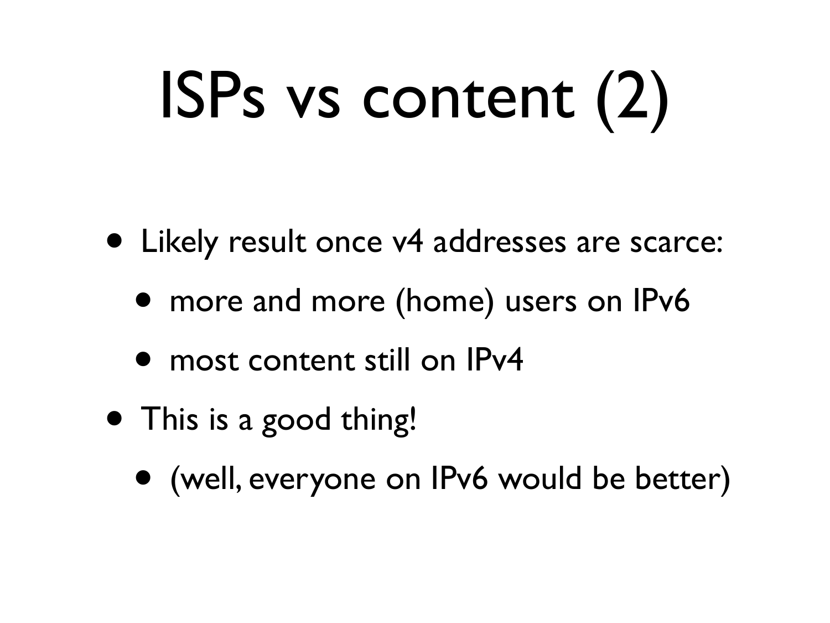# ISPs vs content (2)

- Likely result once v4 addresses are scarce:
	- more and more (home) users on IPv6
	- most content still on IPv4
- This is a good thing!
	- (well, everyone on IPv6 would be better)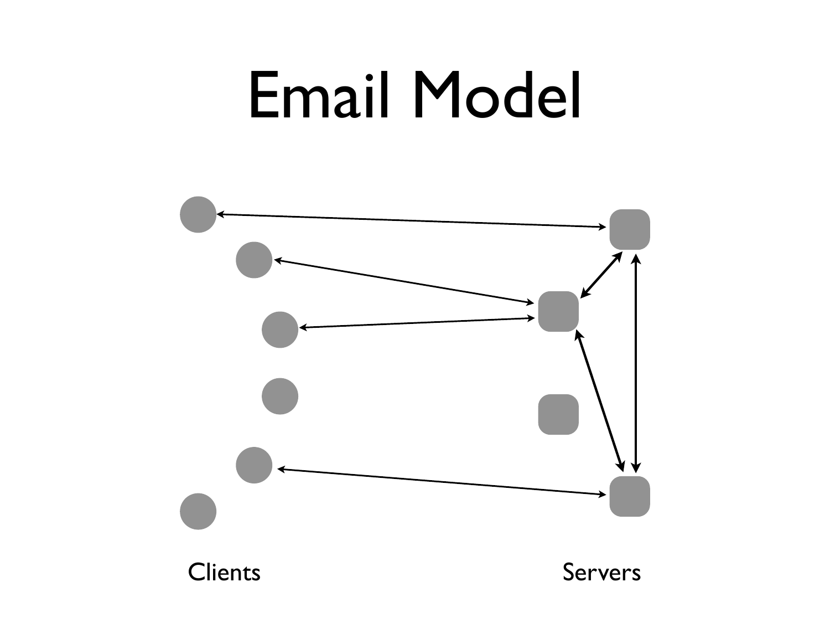#### Email Model

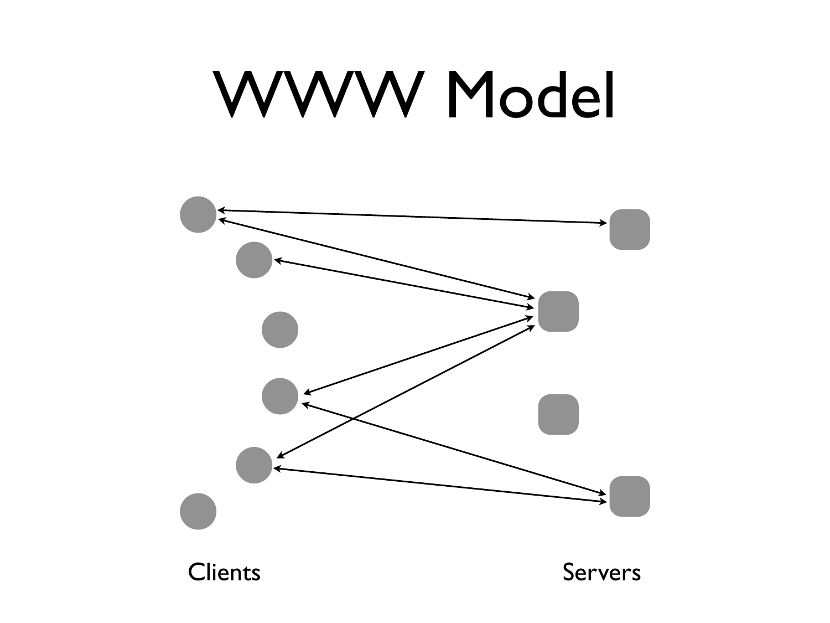#### WWW Model

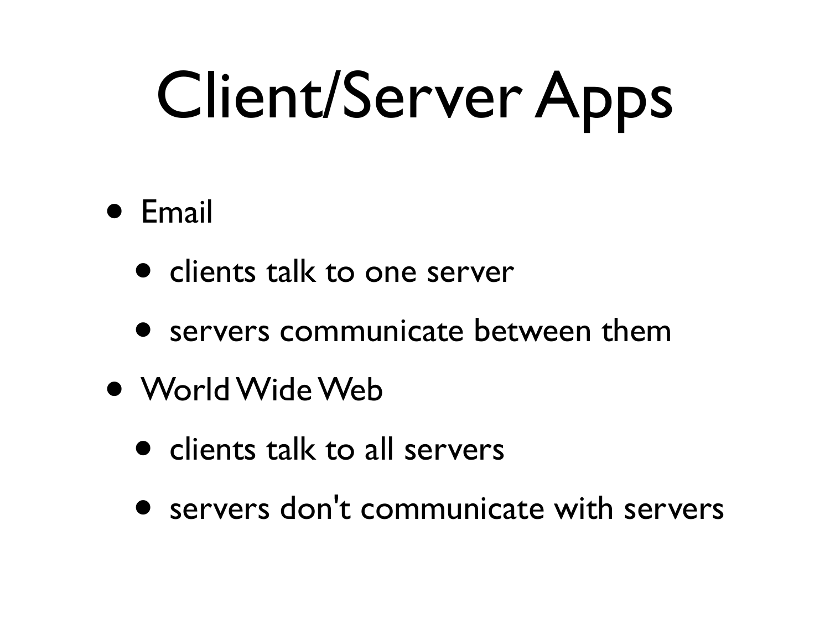## Client/Server Apps

#### • Email

- clients talk to one server
- servers communicate between them
- World Wide Web
	- clients talk to all servers
	- servers don't communicate with servers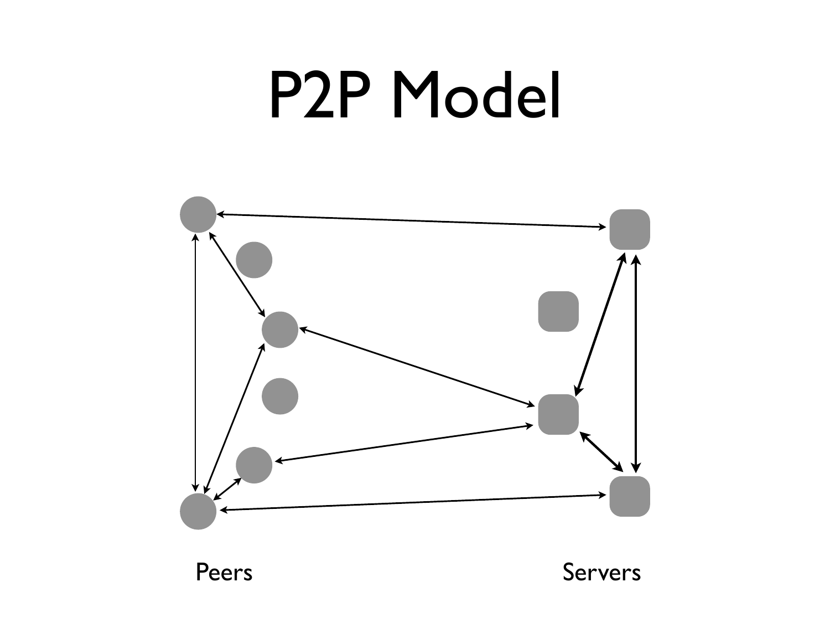#### P2P Model



Peers Servers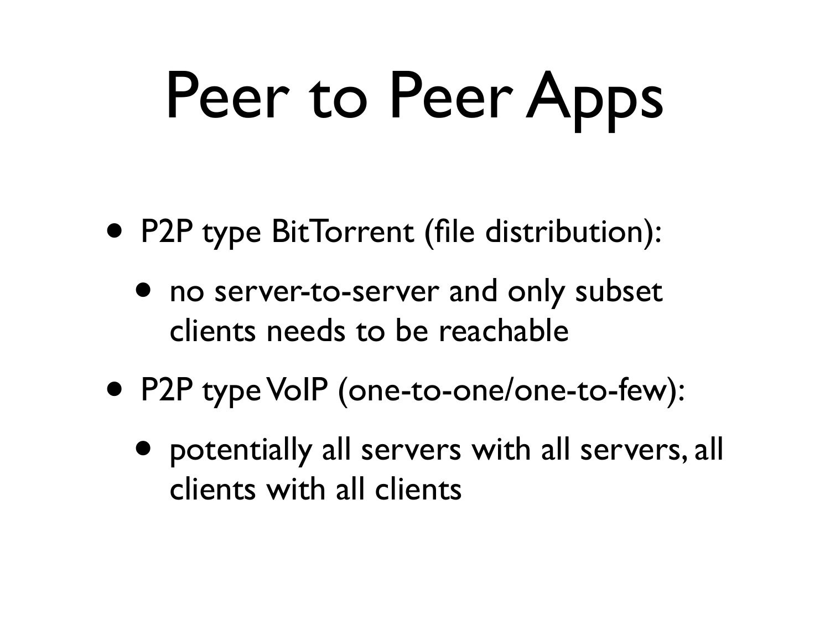# Peer to Peer Apps

- P2P type BitTorrent (file distribution):
	- no server-to-server and only subset clients needs to be reachable
- P2P type VoIP (one-to-one/one-to-few):
	- potentially all servers with all servers, all clients with all clients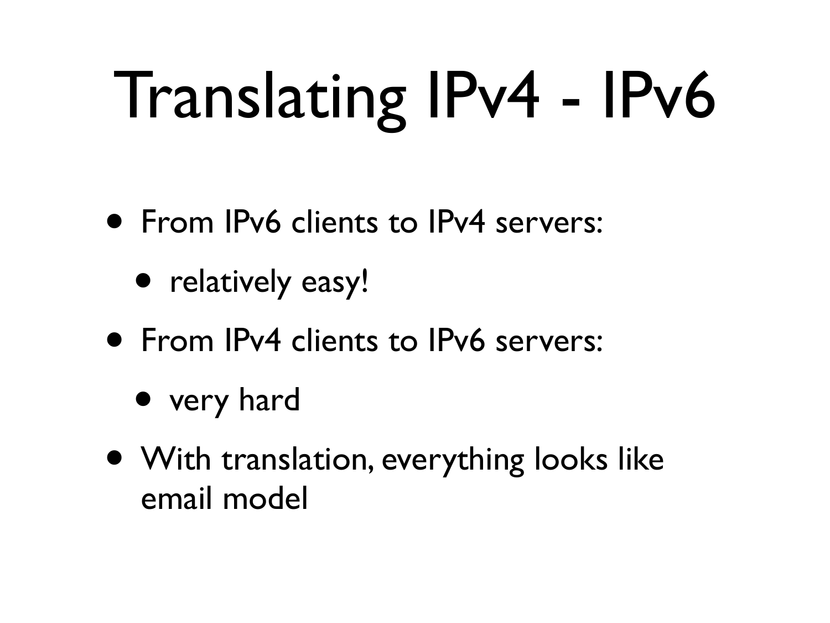# Translating IPv4 - IPv6

- From IPv6 clients to IPv4 servers:
	- relatively easy!
- From IPv4 clients to IPv6 servers:
	- very hard
- With translation, everything looks like email model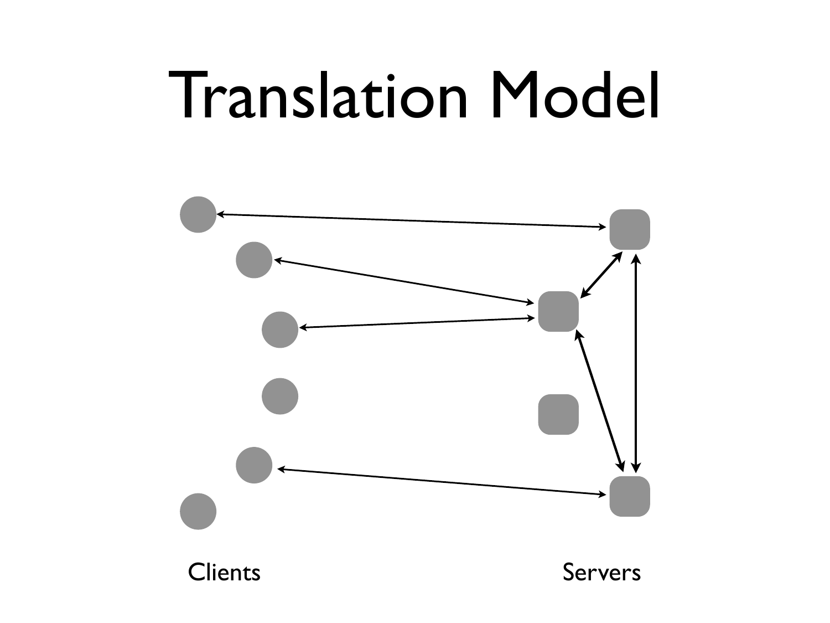#### Translation Model

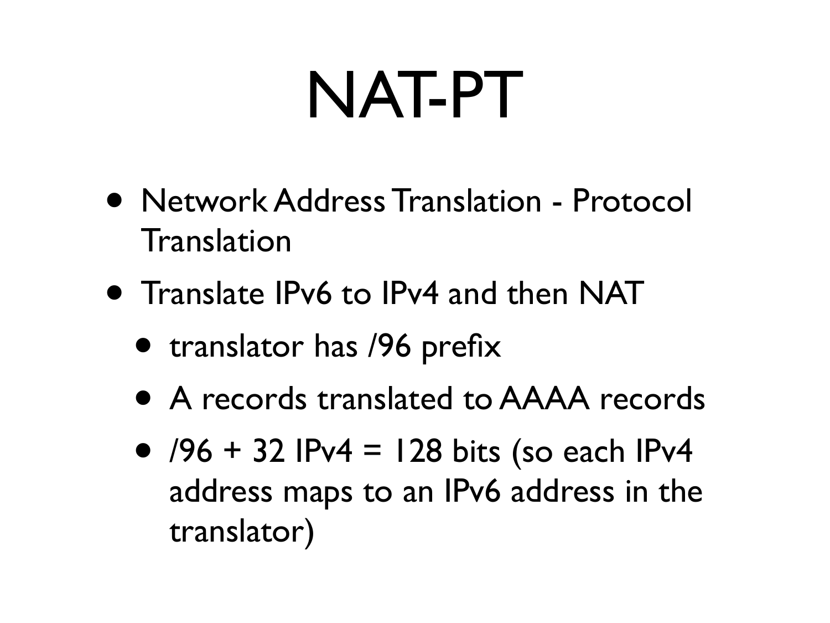## NAT-PT

- Network Address Translation Protocol Translation
- Translate IPv6 to IPv4 and then NAT
	- translator has /96 prefix
	- A records translated to AAAA records
	- $/96 + 32$  IPv4 = 128 bits (so each IPv4 address maps to an IPv6 address in the translator)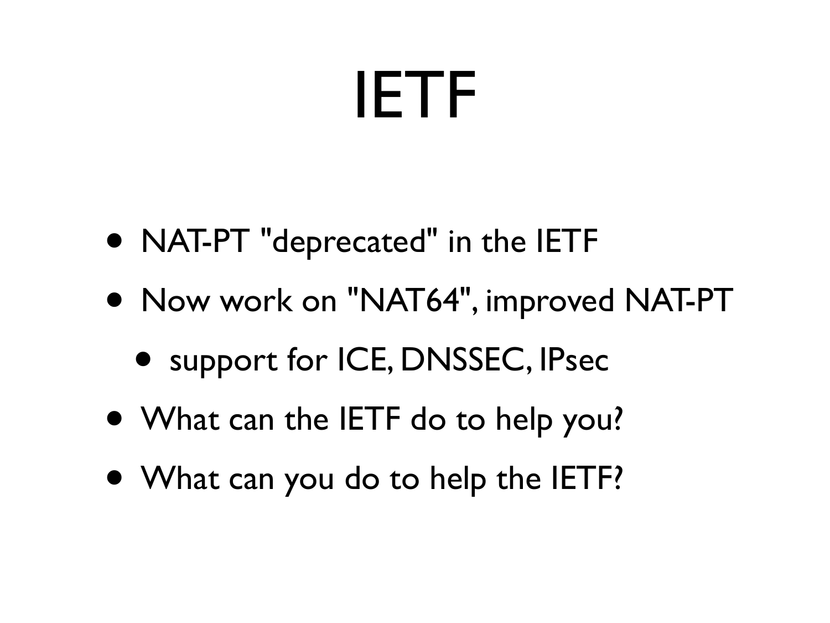#### IETF

- NAT-PT "deprecated" in the IETF
- Now work on "NAT64", improved NAT-PT
	- support for ICE, DNSSEC, IPsec
- What can the IETF do to help you?
- What can you do to help the IETF?